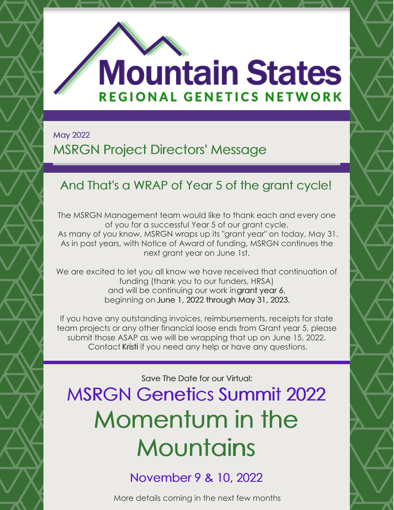

# **Mountain States REGIONAL GENETICS NETWORK**

May 2022

## MSRGN Project Directors' Message

## And That's a WRAP of Year 5 of the grant cycle!

The MSRGN Management team would like to thank each and every one of you for a successful Year 5 of our grant cycle. As many of you know, MSRGN wraps up its "grant year" on today, May 31. As in past years, with Notice of Award of funding, MSRGN continues the next grant year on June 1st.

We are excited to let you all know we have received that continuation of funding (thank you to our funders, HRSA) and will be continuing our work ingrant year 6, beginning on June 1, 2022 through May 31, 2023.

If you have any outstanding invoices, reimbursements, receipts for state team projects or any other financial loose ends from Grant year 5, please submit those ASAP as we will be wrapping that up on June 15, 2022. Contact [Kristi](mailto:kwees@mountainstatesgenetics.org) if you need any help or have any questions.

Save The Date for our Virtual:

MSRGN Genetics Summit 2022 Momentum in the **Mountains** 

November 9 & 10, 2022

More details coming in the next few months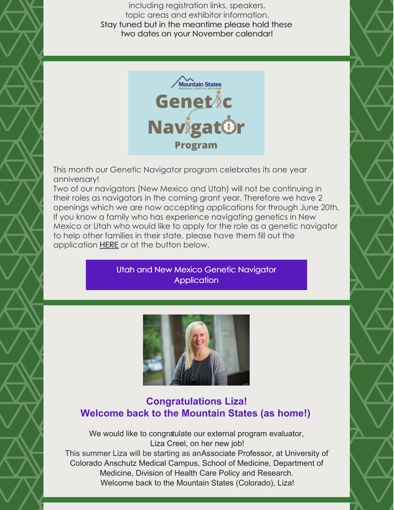including registration links, speakers, topic areas and exhibitor information. Stay tuned but in the meantime please hold these two dates on your November calendar!



This month our Genetic Navigator program celebrates its one year anniversary!

Two of our navigators (New Mexico and Utah) will not be continuing in their roles as navigators in the coming grant year. Therefore we have 2 openings which we are now accepting applications for through June 20th. If you know a family who has experience navigating genetics in New Mexico or Utah who would like to apply for the role as a genetic navigator to help other families in their state, please have them fill out the application [HERE](https://airtable.com/shrStroAcA5iXLivi) or at the button below.

> Utah and New Mexico Genetic Navigator **[Application](https://airtable.com/shrStroAcA5iXLivi)**



#### **Congratulations Liza! Welcome back to the Mountain States (as home!)**

We would like to congratulate our external program evaluator, Liza Creel, on her new job! This summer Liza will be starting as anAssociate Professor, at University of Colorado Anschutz Medical Campus, School of Medicine, Department of Medicine, Division of Health Care Policy and Research. Welcome back to the Mountain States (Colorado), Liza!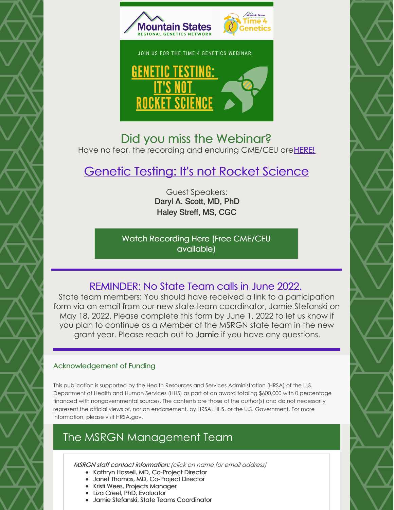

#### Did you miss the Webinar? Have no fear, the recording and enduring CME/CEU are **[HERE!](https://www.mountainstatesgenetics.org/t4ggtwebinar/)**

### [Genetic](https://www.mountainstatesgenetics.org/t4ggtwebinar/) Testing: It's not Rocket Science

Guest Speakers: Daryl A. Scott, MD, PhD Haley Streff, MS, CGC

Watch [Recording](https://www.mountainstatesgenetics.org/t4ggtwebinar/) Here (Free CME/CEU available)

#### REMINDER: No State Team calls in June 2022.

State team members: You should have received a link to a participation form via an email from our new state team coordinator, Jamie Stefanski on May 18, 2022. Please complete this form by June 1, 2022 to let us know if you plan to continue as a Member of the MSRGN state team in the new grant year. Please reach out to [Jamie](mailto:jstefanski@mountainstatesgenetics.org) if you have any questions.

#### Acknowledgement of Funding

This publication is supported by the Health Resources and Services Administration (HRSA) of the U.S. Department of Health and Human Services (HHS) as part of an award totaling \$600,000 with 0 percentage financed with nongovernmental sources. The contents are those of the author(s) and do not necessarily represent the official views of, nor an endorsement, by HRSA, HHS, or the U.S. Government. For more information, please visit HRSA.gov.

#### The MSRGN Management Team

MSRGN staff contact information: (click on name for email address)

- Kathryn Hassell, MD, [Co-Project](mailto:Kathryn.Hassell@cuanschutz.edu) Director
- Janet Thomas, MD, [Co-Project](mailto:Janet.Thomas@childrenscolorado.org) Director
- Kristi Wees, Projects [Manager](mailto:kwees@mountainstatesgenetics.org)
- Liza Creel, PhD, [Evaluator](mailto:Liza.Creel@louisville.edu)
- Jamie Stefanski, State Teams [Coordinator](mailto:jstefanski@mountainstatesgenetics.org)